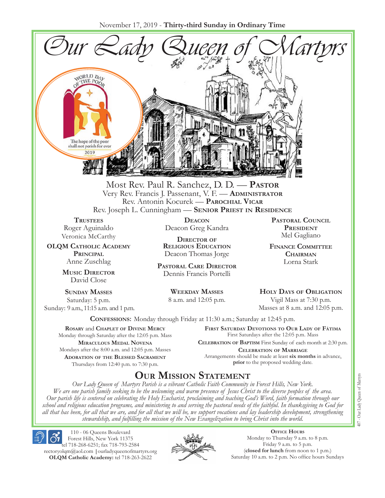November 17, 2019 - **Thirty-third Sunday in Ordinary Time**



Most Rev. Paul R. Sanchez, D. D. — **Pastor** Very Rev. Francis J. Passenant, V. F. — **Administrator** Rev. Antonin Kocurek — **Parochial Vicar** Rev. Joseph L. Cunningham — **Senior Priest in Residence**

**TRUSTEES** Roger Aguinaldo Veronica McCarthy

**OLQM Catholic Academy Principal** Anne Zuschlag

> **Music Director** David Close

**Sunday Masses** Saturday: 5 p.m. Sunday: 9 a.m., 11:15 a.m. and 1 p.m.

**Deacon** Deacon Greg Kandra

**Director of Religious Education** Deacon Thomas Jorge

**Pastoral Care Director** Dennis Francis Portelli

> **Weekday Masses** 8 a.m. and 12:05 p.m.

**Pastoral Council President** Mel Gagliano

**Finance Committee Chairman** Lorna Stark

**Holy Days of Obligation** Vigil Mass at 7:30 p.m.

Masses at 8 a.m. and 12:05 p.m.

**Confessions:** Monday through Friday at 11:30 a.m.; Saturday at 12:45 p.m.

**Rosary** and **Chaplet of Divine Mercy** Monday through Saturday after the 12:05 p.m. Mass **Miraculous Medal Novena** Mondays after the 8:00 a.m. and 12:05 p.m. Masses **Adoration of the Blessed Sacrament** Thursdays from 12:40 p.m. to 7:30 p.m.

**First Saturday Devotions to Our Lady of Fátima** First Saturdays after the 12:05 p.m. Mass

**Celebration of Baptism** First Sunday of each month at 2:30 p.m. **Celebration of Marriage** Arrangements should be made at least **six months** in advance, **prior** to the proposed wedding date.

## **Our Mission Statement**

*Our Lady Queen of Martyrs Parish is a vibrant Catholic Faith Community in Forest Hills, New York. We are one parish family seeking to be the welcoming and warm presence of Jesus Christ to the diverse peoples of the area. Our parish life is centered on celebrating the Holy Eucharist, proclaiming and teaching God's Word, faith formation through our school and religious education programs, and ministering to and serving the pastoral needs of the faithful. In thanksgiving to God for all that has been, for all that we are, and for all that we will be, we support vocations and lay leadership development, strengthening stewardship, and fulfilling the mission of the New Evangelization to bring Christ into the world.*

110 - 06 Queens Boulevard Forest Hills, New York 11375 tel 718-268-6251; fax 718-793-2584 rectoryolqm@aol.com **|**ourladyqueenofmartyrs.org **OLQM Catholic Academy:** tel 718-263-2622



**Office Hours** Monday to Thursday 9 a.m. to 8 p.m. Friday 9 a.m. to 5 p.m. (**closed for lunch** from noon to 1 p.m.) Saturday 10 a.m. to 2 p.m. No office hours Sundays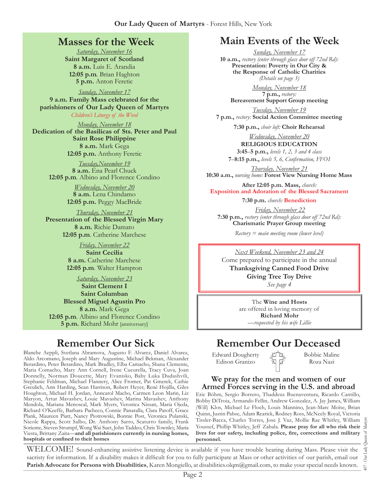### **Masses for the Week**

*Saturday, November 16* **Saint Margaret of Scotland 8 a.m.** Luis E. Arandia **12:05 p.m***.* Brian Haghton **5 p.m.** Anton Feretic

*Sunday, November 17*

**9 a.m. Family Mass celebrated for the parishioners of Our Lady Queen of Martyrs** *Children's Liturgy of the Word* 

*Monday, November 18* **Dedication of the Basilicas of Sts. Peter and Paul Saint Rose Philippine 8 a.m.** Mark Gega **12:05 p.m.** Anthony Feretic

> *Tuesday,November 19* **8 a.m.** Ena Pearl Chuck **12:05 p.m***.* Albino and Florence Condino

> > *Wednesday, November 20* **8 a.m.** Lena Chindamo **12:05 p.m.** Peggy MacBride

*Thursday, November 21* **Presentation of the Blessed Virgin Mary 8 a.m.** Richie Damato **12:05 p.m***.* Catherine Marchese

> *Friday, November 22* **Saint Cecilia 8 a.m.** Catherine Marchese **12:05 p.m***.* Walter Hampton

*Saturday, November 23* **Saint Clement I Saint Columban Blessed Miguel Agustin Pro 8 a.m.** Mark Gega **12:05 p.m***.* Albino and Florence Condino **5 p.m.** Richard Mohr [anniversary]

## **Remember Our Sick**

Blanche Aeppli, Svetlana Abramova, Augusto F. Alvarez, Daniel Alvarez, Aldo Arcomano, Joseph and Mary Augustine, Michael Bekman, Alexander Berardino, Peter Berardino, Mark Bradley, Elba Camacho, Shana Clemente, Maria Comacho, Mary Ann Cornell, Irene Cucurella, Tracy Cuva, Joan Donnelly, Norman Doucette, Mary Evanisko, Baby Luka Dudashvili, Stephanie Feldman, Michael Flannery, Alice Fromer, Pat Gmerek, Cathie Greulich, Ann Harding, Sean Harrison, Robert Heyer, René Hojilla, Giles Houghton, Michael H. Jordan, Anncarol Macho, Carmen Leon Marin, Liz Maryon, Artur Mavashev, Louie Mavashev, Marina Mavashev, Anthony Mendola, Mariana Menoscal, Mark Myers, Veronica Nissan, Maria Ojeda, Richard O'Keeffe, Barbara Pacheco, Connie Panaralla, Clara Patoff, Grace Plank, Maureen Piatt, Nancy Piotrowski, Bonnie Post, Veronica Pulanski, Nicole Rappa, Scott Salbo, Dr. Anthony Sarro, Scaturro family, Frank Soriente, Steven Strumpf, Wong Wai Suet, John Taddeo, Chris Townley, Maria Viesta, Brittany Zaita—**and all parishioners currently in nursing homes, hospitals or confined to their homes**

## **Main Events of the Week**

*Sunday, November 17* **10 a.m.,** *rectory (enter through glass door off 72nd Rd):* **Presentation: Poverty in Our City & the Response of Catholic Charities** *(Details on page 3)*

*Monday, November 18* **7 p.m.,** *rectory:*  **Bereavement Support Group meeting**

*Tuesday, November 19* **7 p.m.,** *rectory:* **Social Action Committee meeting**

**7:30 p.m.,** *choir loft:* **Choir Rehearsal**

*Wednesday, November 20* **RELIGIOUS EDUCATION 3:45**–**5 p.m.,** *levels 1, 2, 3 and 4 class*

**7**–**8:15 p.m.,** *levels 5, 6, Confirmation, FFO  I Thursday, November 21*

**10:30 a.m.,** *nursing home:* **Forest View Nursing Home Mass**

**After 12:05 p.m. Mass,** *church:*  **Exposition and Adoration of the Blessed Sacrament**

**7:30 p.m.** *church:* **Benediction**

*Friday, November 22* **7:30 p.m.,** *rectory (enter through glass door off 72nd Rd):* **Charismatic Prayer Group meeting**

*Rectory = main meeting room (lower level)*

*Next Weekend, November 23 and 24*

Come prepared to participate in the annual **Thanksgiving Canned Food Drive Giving Tree Toy Drive**  *See page 4*

> The **Wine and Hosts** are offered in loving memory of **Richard Mohr** *—requested by his wife Lillie*

## **Remember Our Deceased**

Edward Dougherty Edison Granizo

Bobbie Maline Roza Nazi

#### **We pray for the men and women of our Armed Forces serving in the U.S. and abroad**

Eric Böhm, Sergio Borrero, Thaddeus Buenaventura, Ricardo Cantillo, Bobby DiTroia, Armando Fellin, Andrew Gonzalez, A. Jay James, William (Will) Klos, Michael Le Floch, Louis Mannino, Jean-Marc Moïse, Brian Quinn, Justin Pabse, Adam Rearick, Rodney Ross, McNeely Royal, Victoria Tissler-Bacca, Charles Torres, Jose J. Vaz, Mollie Rae Whitley, William Youssef, Phillip Whitley, Jeff Zabala. **Please pray for all who risk their lives for our safety, including police, fire, corrections and military personnel.**

WELCOME! Sound-enhancing assistive listening device is available if you have trouble hearing during Mass. Please visit the sacristy for information. If a disability makes it difficult for you to fully participate at Mass or other activities of our parish, email our **Parish Advocate for Persons with Disabilities**, Karen Mongiello, at disabilities.olqm@gmail.com, to make your special needs known.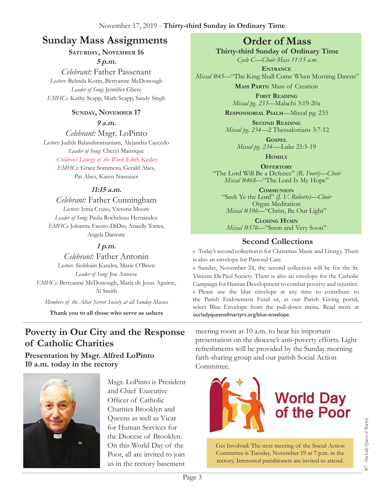## **Sunday Mass Assignments Order of Mass**

#### SATURDAY, NOVEMBER 16

**5 p.m.**  *Celebrant:* Father Passenant *Lectors:* Belinda Kotin, Bettyanne McDonough *Leader of Song:* Jennifer Gliere *EMHCs:* Kathy Scapp, Mark Scapp, Sandy Singh

#### **Sunday, November 17**

**9 a.m.** 

*Celebrant:* Msgr. LoPinto *Lectors:* Judith Balasubramaniam, Alejandra Caycedo *Leader of Song:* Cheryl Manrique *Children's Liturgy of the Word:* Edith Kealey *EMHCs:* Grace Sommero, Gerald Abes, Pat Abes, Karen Nassauer

#### **11:15 a.m.**

*Celebrant:* Father Cunningham *Lectors:* Irma Cruso, Victoria Moore *Leader of Song:* Paula Rocheleau Hernández *EMHCs:* Johanna Fausto-DiDio, Aracelly Torres, Angela Damone

#### **1 p.m.**

*Celebrant:* Father Antonin *Lectors:* Siobhain Kandra, Marie O'Brien *Leader of Song:* Joe Annese *EMHCs:* Bettyanne McDonough, Maria de Jesus Aguirre, Al Smith

*Members of the Altar Server Society at all Sunday Masses*

**Thank you to all those who serve as ushers**

## **Poverty in Our City and the Response of Catholic Charities**

#### **Presentation by Msgr. Alfred LoPinto 10 a.m. today in the rectory**



Msgr. LoPinto is President and Chief Executive Officer of Catholic Charities Brooklyn and Queens as well as Vicar for Human Services for the Diocese of Brooklyn. On this World Day of the Poor, all are invited to join us in the rectory basement

**Thirty-third Sunday of Ordinary Time**

*Cycle C—Choir Mass 11:15 a.m.* **Entrance** *Missal #45—*"The King Shall Come When Morning Dawns"

**Mass Parts:** Mass of Creation

**First Reading** *Missal pg. 233—*Malachi 3:19-20a

**Responsorial Psalm**—Missal pg. 233

**Second Reading** *Missal pg. 234—*2 Thessalonians 3:7-12

> **Gospel** *Missal pg. 234-—*Luke 21:5-19

**Homily**

**OFFERTORY** "The Lord Will Be a Defence" *(R. Foort)—Choir Missal #468—*"The Lord Is My Hope"

**Communion** "Seek Ye the Lord" *(J. V. Roberts)—Choir*  Organ Meditation *Missal #596—*"Christ, Be Our Light"

**Closing Hymn** *Missal #576—*"Soon and Very Soon"

## **Second Collections**

›› Today's second collection is for Christmas Music and Liturgy. There is also an envelope for Pastoral Care.

›› Sunday, November 24, the second collection will be for the St. Vincent De Paul Society. There is also an envelope for the Catholic Campaign for Human Development to combat poverty and injustice. ›› Please use the blue envelope at any time to contribute to the Parish Endowment Fund or, at our Parish Giving portal, select Blue Envelope from the pull-down menu. Read more at ourladyqueenofmartyrs.org/blue-envelope.

meeting room at 10 a.m. to hear his important presentation on the diocese's anti-poverty efforts. Light refreshments will be provided by the Sunday morning faith-sharing group and our parish Social Action Committee.



Get Involved: The next meeting of the Social Action Committee is Tuesday, November 19 at 7 p.m. in the rectory. Interested parishioners are invited to attend.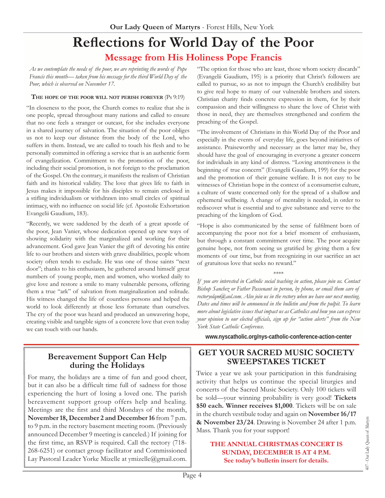## **Reflections for World Day of the Poor Message from His Holiness Pope Francis**

*As we contemplate the needs of the poor, we are reprinting the words of Pope Francis this month— taken from his message for the third World Day of the Poor, which is observed on November 17.*

#### **The hope of the poor will not perish forever** (Ps 9:19)

"In closeness to the poor, the Church comes to realize that she is one people, spread throughout many nations and called to ensure that no one feels a stranger or outcast, for she includes everyone in a shared journey of salvation. The situation of the poor obliges us not to keep our distance from the body of the Lord, who suffers in them. Instead, we are called to touch his flesh and to be personally committed in offering a service that is an authentic form of evangelization. Commitment to the promotion of the poor, including their social promotion, is not foreign to the proclamation of the Gospel. On the contrary, it manifests the realism of Christian faith and its historical validity. The love that gives life to faith in Jesus makes it impossible for his disciples to remain enclosed in a stifling individualism or withdrawn into small circles of spiritual intimacy, with no influence on social life (cf. Apostolic Exhortation Evangelii Gaudium, 183).

"Recently, we were saddened by the death of a great apostle of the poor, Jean Vanier, whose dedication opened up new ways of showing solidarity with the marginalized and working for their advancement. God gave Jean Vanier the gift of devoting his entire life to our brothers and sisters with grave disabilities, people whom society often tends to exclude. He was one of those saints "next door"; thanks to his enthusiasm, he gathered around himself great numbers of young people, men and women, who worked daily to give love and restore a smile to many vulnerable persons, offering them a true "ark" of salvation from marginalization and solitude. His witness changed the life of countless persons and helped the world to look differently at those less fortunate than ourselves. The cry of the poor was heard and produced an unwavering hope, creating visible and tangible signs of a concrete love that even today we can touch with our hands.

"The option for those who are least, those whom society discards" (Evangelii Gaudium, 195) is a priority that Christ's followers are called to pursue, so as not to impugn the Church's credibility but to give real hope to many of our vulnerable brothers and sisters. Christian charity finds concrete expression in them, for by their compassion and their willingness to share the love of Christ with those in need, they are themselves strengthened and confirm the preaching of the Gospel.

"The involvement of Christians in this World Day of the Poor and especially in the events of everyday life, goes beyond initiatives of assistance. Praiseworthy and necessary as the latter may be, they should have the goal of encouraging in everyone a greater concern for individuals in any kind of distress. "Loving attentiveness is the beginning of true concern" (Evangelii Gaudium, 199) for the poor and the promotion of their genuine welfare. It is not easy to be witnesses of Christian hope in the context of a consumerist culture, a culture of waste concerned only for the spread of a shallow and ephemeral wellbeing. A change of mentality is needed, in order to rediscover what is essential and to give substance and verve to the preaching of the kingdom of God.

"Hope is also communicated by the sense of fulfilment born of accompanying the poor not for a brief moment of enthusiasm, but through a constant commitment over time. The poor acquire genuine hope, not from seeing us gratified by giving them a few moments of our time, but from recognizing in our sacrifice an act of gratuitous love that seeks no reward."

#### \*\*\*\*

*If you are interested in Catholic social teaching in action, please join us. Contact Bishop Sanchez or Father Passenant in person, by phone, or email them care of rectoryolqm@aol.com. Also join us in the rectory when we have our next meeting. Dates and times will be announced in the bulletin and from the pulpit. To learn more about legislative issues that impact us as Catholics and how you can express your opinion to our elected officials, sign up for "action alerts" from the New York State Catholic Conference.* 

**www.nyscatholic.org/nys-catholic-conference-action-center**

#### **Bereavement Support Can Help during the Holidays**

For many, the holidays are a time of fun and good cheer, but it can also be a difficult time full of sadness for those experiencing the hurt of losing a loved one. The parish bereavement support group offers help and healing. Meetings are the first and third Mondays of the month, **November 18, December 2 and December 16** from 7 p.m. to 9 p.m. in the rectory basement meeting room. (Previously announced December 9 meeting is canceled.) If joining for the first time, an RSVP is required. Call the rectory (718- 268-6251) or contact group facilitator and Commissioned Lay Pastoral Leader Yorke Mizelle at ymizelle@gmail.com.

#### **GET YOUR SACRED MUSIC SOCIETY SWEEPSTAKES TICKET**

Twice a year we ask your participation in this fundraising activity that helps us continue the special liturgies and concerts of the Sacred Music Society. Only 100 tickets will be sold—your winning probability is very good! **Tickets \$50 each. Winner receives \$1,000**. Tickets will be on sale in the church vestibule today and again on **November 16/17 & November 23/24**. Drawing is November 24 after 1 p.m. Mass. Thank you for your support!

#### **THE ANNUAL CHRISTMAS CONCERT IS SUNDAY, DECEMBER 15 AT 4 P.M. See today's bulletin insert for details.**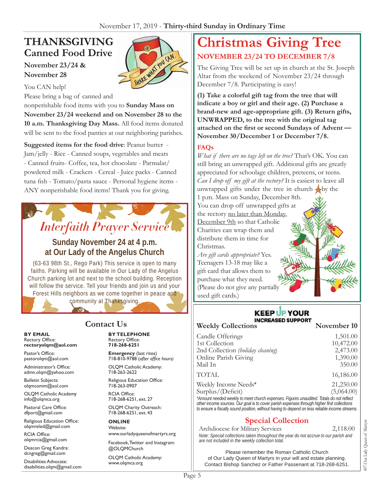## **THANKSGIVING Canned Food Drive November 23/24 &**



**November 28** You CAN help!

Please bring a bag of canned and

nonperishable food items with you to **Sunday Mass on November 23/24 weekend and on November 28 to the 10 a.m. Thanksgiving Day Mass.** All food items donated will be sent to the food panties at our neighboring parishes.

**Suggested items for the food drive**: Peanut butter - Jam/jelly - Rice - Canned soups, vegetables and meats - Canned fruits- Coffee, tea, hot chocolate - Parmalat/ powdered milk - Crackers - Cereal - Juice packs - Canned tuna fish - Tomato/pasta sauce - Personal hygiene items - ANY nonperishable food items! Thank you for giving.

# *Interfaith Prayer Service*

#### **Sunday November 24 at 4 p.m. at Our Lady of the Angelus Church**

(63-63 98th St., Rego Park) This service is open to many faiths. Parking will be available in Our Lady of the Angelus Church parking lot and next to the school building. Reception will follow the service. Tell your friends and join us and your Forest Hills neighbors as we come together in peace and community at Thanksgiving.

### **Contact Us**

**BY EMAIL** Rectory Office: **rectoryolqm@aol.com**

Pastor's Office: pastorolqm@aol.com

Administrator's Office: admn.olqm@yahoo.com

Bulletin Subjects: olqmcomm@aol.com

OLQM Catholic Academy info@olqmca.org

Pastoral Care Office: dfport@gmail.com

Religious Education Office: olqmreled@gmail.com

RCIA Office: olqmrcia@gmail.com

Deacon Greg Kandra: dcngreg@gmail.com

Disabilities Advocate: disabilities.olqm@gmail.com

## **BY TELEPHONE**

Rectory Office: **718-268-6251**

**Emergency** (last rites) 718-810-9788 (*after office hours)*

OLQM Catholic Academy: 718-263-2622

Religious Education Office: 718-263-0907

RCIA Office: 718-268-6251, ext. 27

OLQM Charity Outreach: 718-268-6251, ext. 43

**ONLINE** Website: www.ourladyqueenofmartyrs.org

Facebook, Twitter and Instagram: @OLQMChurch

OLQM Catholic Academy: www.olqmca.org

## **Christmas Giving Tree NOVEMBER 23/24 TO DECEMBER 7/8**

The Giving Tree will be set up in church at the St. Joseph Altar from the weekend of November 23/24 through December 7/8. Participating is easy!

**(1) Take a colorful gift tag from the tree that will indicate a boy or girl and their age. (2) Purchase a brand-new and age-appropriate gift. (3) Return gifts, UNWRAPPED, to the tree with the original tag attached on the first or second Sundays of Advent — November 30/December 1 or December 7/8.** 

#### **FAQs**

*What if there are no tags left on the tree?* That's OK. You can still bring an unwrapped gift. Additional gifts are greatly appreciated for schoolage children, preteens, or teens. *Can I drop off my gift at the rectory?* It is easiest to leave all unwrapped gifts under the tree in church by the 1 p.m. Mass on Sunday, December 8th. You can drop off unwrapped gifts at the rectory no later than Monday, December 9th so that Catholic Charities can wrap them and distribute them in time for Christmas. *Are gift cards appropriate?* Yes.

Teenagers 13-18 may like a gift card that allows them to purchase what they need. (Please do not give any partially used gift cards.)

#### **KEEP UP YOUR INCREASED SUPPORT**

| <b>Weekly Collections</b>                                                                                                                                                              | November 10 |
|----------------------------------------------------------------------------------------------------------------------------------------------------------------------------------------|-------------|
| Candle Offerings                                                                                                                                                                       | 1,501.00    |
| 1st Collection                                                                                                                                                                         | 10,472.00   |
| 2nd Collection (holiday cleaning)                                                                                                                                                      | 2,473.00    |
| Online Parish Giving                                                                                                                                                                   | 1,390.00    |
| Mail In                                                                                                                                                                                | 350.00      |
| TOTAL                                                                                                                                                                                  | 16,186.00   |
| Weekly Income Needs*                                                                                                                                                                   | 21,250.00   |
| Surplus/(Deficit)                                                                                                                                                                      | (5,064.00)  |
| *Amount needed weekly to meet church expenses. Figures unaudited. Totals do not reflect<br>other income sources. Our goal is to cover parish expenses through higher first collections |             |

*other income sources. Our goal is to cover parish expenses through higher first collections to ensure a fiscally sound position, without having to depend on less reliable income streams*.

#### **Special Collection**

Archdiocese for Military Services 2,118.00 *Note: Special collections taken throughout the year do not accrue to our parish and are not included in the weekly collection total.*

Please remember the Roman Catholic Church of Our Lady Queen of Martyrs in your will and estate planning. Contact Bishop Sanchez or Father Passenant at 718-268-6251.